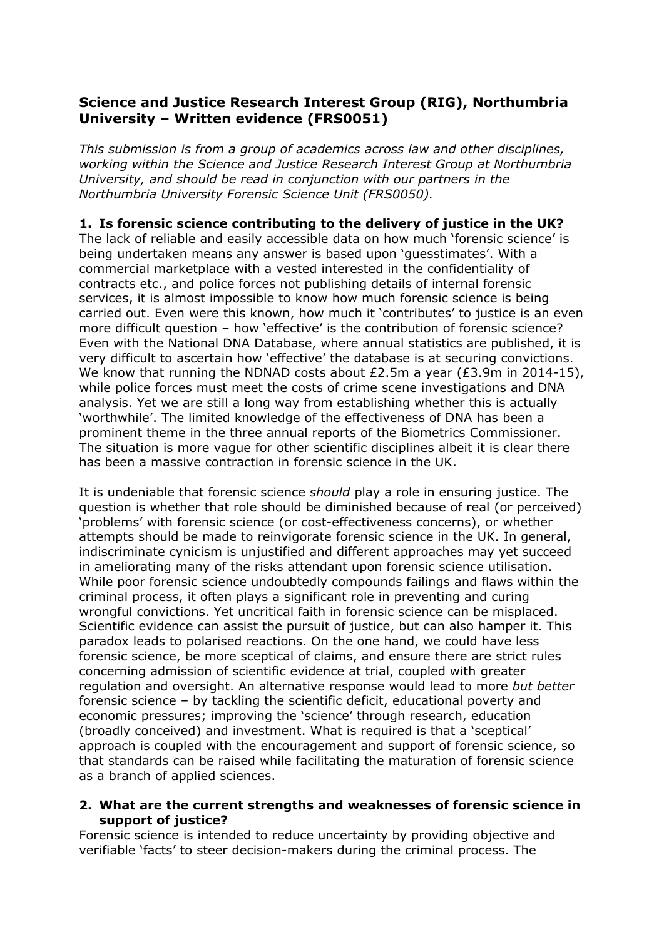# **Science and Justice Research Interest Group (RIG), Northumbria University – Written evidence (FRS0051)**

*This submission is from a group of academics across law and other disciplines, working within the Science and Justice Research Interest Group at Northumbria University, and should be read in conjunction with our partners in the Northumbria University Forensic Science Unit (FRS0050).*

## **1. Is forensic science contributing to the delivery of justice in the UK?**

The lack of reliable and easily accessible data on how much 'forensic science' is being undertaken means any answer is based upon 'guesstimates'. With a commercial marketplace with a vested interested in the confidentiality of contracts etc., and police forces not publishing details of internal forensic services, it is almost impossible to know how much forensic science is being carried out. Even were this known, how much it 'contributes' to justice is an even more difficult question – how 'effective' is the contribution of forensic science? Even with the National DNA Database, where annual statistics are published, it is very difficult to ascertain how 'effective' the database is at securing convictions. We know that running the NDNAD costs about £2.5m a year (£3.9m in 2014-15), while police forces must meet the costs of crime scene investigations and DNA analysis. Yet we are still a long way from establishing whether this is actually 'worthwhile'. The limited knowledge of the effectiveness of DNA has been a prominent theme in the three annual reports of the Biometrics Commissioner. The situation is more vague for other scientific disciplines albeit it is clear there has been a massive contraction in forensic science in the UK.

It is undeniable that forensic science *should* play a role in ensuring justice. The question is whether that role should be diminished because of real (or perceived) 'problems' with forensic science (or cost-effectiveness concerns), or whether attempts should be made to reinvigorate forensic science in the UK. In general, indiscriminate cynicism is unjustified and different approaches may yet succeed in ameliorating many of the risks attendant upon forensic science utilisation. While poor forensic science undoubtedly compounds failings and flaws within the criminal process, it often plays a significant role in preventing and curing wrongful convictions. Yet uncritical faith in forensic science can be misplaced. Scientific evidence can assist the pursuit of justice, but can also hamper it. This paradox leads to polarised reactions. On the one hand, we could have less forensic science, be more sceptical of claims, and ensure there are strict rules concerning admission of scientific evidence at trial, coupled with greater regulation and oversight. An alternative response would lead to more *but better* forensic science – by tackling the scientific deficit, educational poverty and economic pressures; improving the 'science' through research, education (broadly conceived) and investment. What is required is that a 'sceptical' approach is coupled with the encouragement and support of forensic science, so that standards can be raised while facilitating the maturation of forensic science as a branch of applied sciences.

#### **2. What are the current strengths and weaknesses of forensic science in support of justice?**

Forensic science is intended to reduce uncertainty by providing objective and verifiable 'facts' to steer decision-makers during the criminal process. The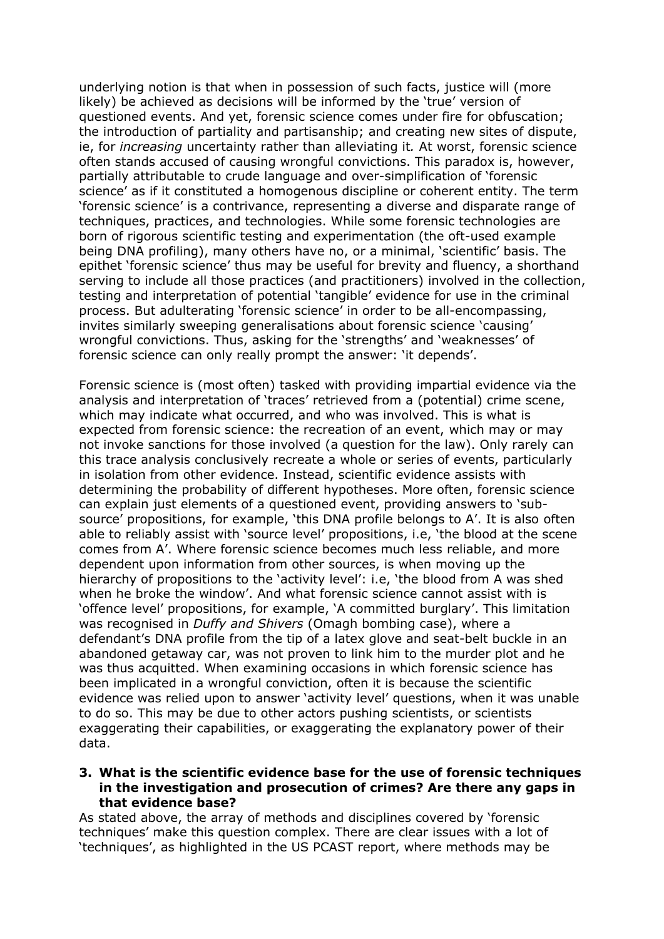underlying notion is that when in possession of such facts, justice will (more likely) be achieved as decisions will be informed by the 'true' version of questioned events. And yet, forensic science comes under fire for obfuscation; the introduction of partiality and partisanship; and creating new sites of dispute, ie, for *increasing* uncertainty rather than alleviating it*.* At worst, forensic science often stands accused of causing wrongful convictions. This paradox is, however, partially attributable to crude language and over-simplification of 'forensic science' as if it constituted a homogenous discipline or coherent entity. The term 'forensic science' is a contrivance, representing a diverse and disparate range of techniques, practices, and technologies. While some forensic technologies are born of rigorous scientific testing and experimentation (the oft-used example being DNA profiling), many others have no, or a minimal, 'scientific' basis. The epithet 'forensic science' thus may be useful for brevity and fluency, a shorthand serving to include all those practices (and practitioners) involved in the collection, testing and interpretation of potential 'tangible' evidence for use in the criminal process. But adulterating 'forensic science' in order to be all-encompassing, invites similarly sweeping generalisations about forensic science 'causing' wrongful convictions. Thus, asking for the 'strengths' and 'weaknesses' of forensic science can only really prompt the answer: 'it depends'.

Forensic science is (most often) tasked with providing impartial evidence via the analysis and interpretation of 'traces' retrieved from a (potential) crime scene, which may indicate what occurred, and who was involved. This is what is expected from forensic science: the recreation of an event, which may or may not invoke sanctions for those involved (a question for the law). Only rarely can this trace analysis conclusively recreate a whole or series of events, particularly in isolation from other evidence. Instead, scientific evidence assists with determining the probability of different hypotheses. More often, forensic science can explain just elements of a questioned event, providing answers to 'subsource' propositions, for example, 'this DNA profile belongs to A'. It is also often able to reliably assist with 'source level' propositions, i.e, 'the blood at the scene comes from A'. Where forensic science becomes much less reliable, and more dependent upon information from other sources, is when moving up the hierarchy of propositions to the 'activity level': i.e, 'the blood from A was shed when he broke the window'. And what forensic science cannot assist with is 'offence level' propositions, for example, 'A committed burglary'. This limitation was recognised in *Duffy and Shivers* (Omagh bombing case), where a defendant's DNA profile from the tip of a latex glove and seat-belt buckle in an abandoned getaway car, was not proven to link him to the murder plot and he was thus acquitted. When examining occasions in which forensic science has been implicated in a wrongful conviction, often it is because the scientific evidence was relied upon to answer 'activity level' questions, when it was unable to do so. This may be due to other actors pushing scientists, or scientists exaggerating their capabilities, or exaggerating the explanatory power of their data.

#### **3. What is the scientific evidence base for the use of forensic techniques in the investigation and prosecution of crimes? Are there any gaps in that evidence base?**

As stated above, the array of methods and disciplines covered by 'forensic techniques' make this question complex. There are clear issues with a lot of 'techniques', as highlighted in the US PCAST report, where methods may be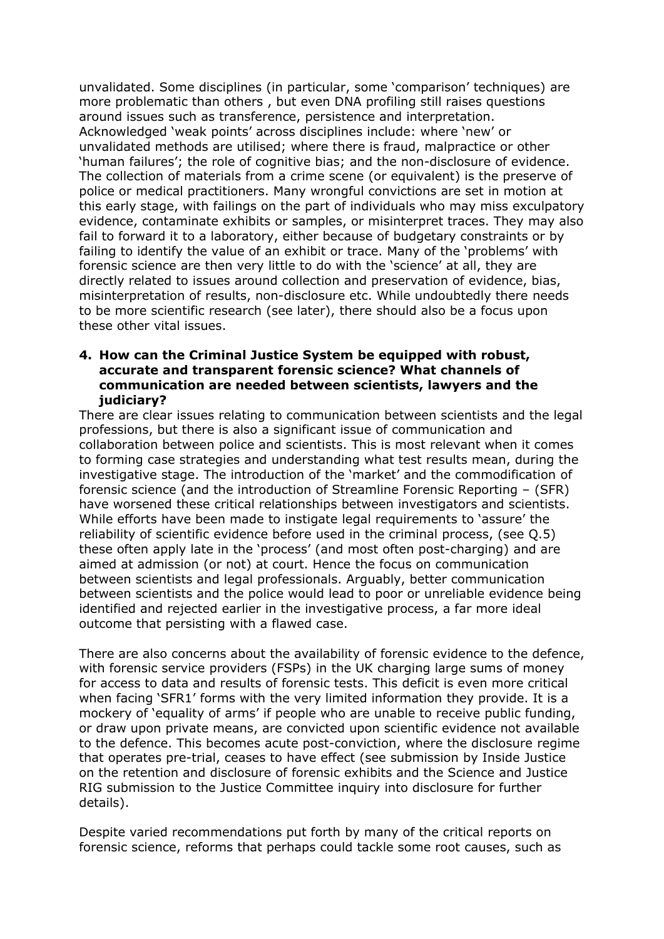unvalidated. Some disciplines (in particular, some 'comparison' techniques) are more problematic than others , but even DNA profiling still raises questions around issues such as transference, persistence and interpretation. Acknowledged 'weak points' across disciplines include: where 'new' or unvalidated methods are utilised; where there is fraud, malpractice or other 'human failures'; the role of cognitive bias; and the non-disclosure of evidence. The collection of materials from a crime scene (or equivalent) is the preserve of police or medical practitioners. Many wrongful convictions are set in motion at this early stage, with failings on the part of individuals who may miss exculpatory evidence, contaminate exhibits or samples, or misinterpret traces. They may also fail to forward it to a laboratory, either because of budgetary constraints or by failing to identify the value of an exhibit or trace. Many of the 'problems' with forensic science are then very little to do with the 'science' at all, they are directly related to issues around collection and preservation of evidence, bias, misinterpretation of results, non-disclosure etc. While undoubtedly there needs to be more scientific research (see later), there should also be a focus upon these other vital issues.

#### **4. How can the Criminal Justice System be equipped with robust, accurate and transparent forensic science? What channels of communication are needed between scientists, lawyers and the judiciary?**

There are clear issues relating to communication between scientists and the legal professions, but there is also a significant issue of communication and collaboration between police and scientists. This is most relevant when it comes to forming case strategies and understanding what test results mean, during the investigative stage. The introduction of the 'market' and the commodification of forensic science (and the introduction of Streamline Forensic Reporting – (SFR) have worsened these critical relationships between investigators and scientists. While efforts have been made to instigate legal requirements to 'assure' the reliability of scientific evidence before used in the criminal process, (see Q.5) these often apply late in the 'process' (and most often post-charging) and are aimed at admission (or not) at court. Hence the focus on communication between scientists and legal professionals. Arguably, better communication between scientists and the police would lead to poor or unreliable evidence being identified and rejected earlier in the investigative process, a far more ideal outcome that persisting with a flawed case.

There are also concerns about the availability of forensic evidence to the defence, with forensic service providers (FSPs) in the UK charging large sums of money for access to data and results of forensic tests. This deficit is even more critical when facing 'SFR1' forms with the very limited information they provide. It is a mockery of 'equality of arms' if people who are unable to receive public funding, or draw upon private means, are convicted upon scientific evidence not available to the defence. This becomes acute post-conviction, where the disclosure regime that operates pre-trial, ceases to have effect (see submission by Inside Justice on the retention and disclosure of forensic exhibits and the Science and Justice RIG submission to the Justice Committee inquiry into disclosure for further details).

Despite varied recommendations put forth by many of the critical reports on forensic science, reforms that perhaps could tackle some root causes, such as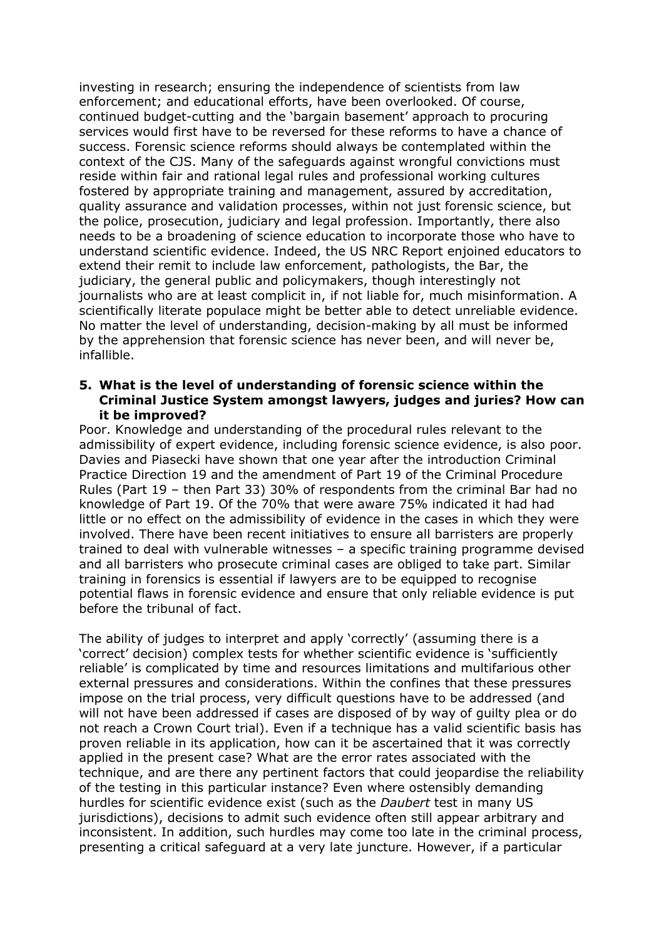investing in research; ensuring the independence of scientists from law enforcement; and educational efforts, have been overlooked. Of course, continued budget-cutting and the 'bargain basement' approach to procuring services would first have to be reversed for these reforms to have a chance of success. Forensic science reforms should always be contemplated within the context of the CJS. Many of the safeguards against wrongful convictions must reside within fair and rational legal rules and professional working cultures fostered by appropriate training and management, assured by accreditation, quality assurance and validation processes, within not just forensic science, but the police, prosecution, judiciary and legal profession. Importantly, there also needs to be a broadening of science education to incorporate those who have to understand scientific evidence. Indeed, the US NRC Report enjoined educators to extend their remit to include law enforcement, pathologists, the Bar, the judiciary, the general public and policymakers, though interestingly not journalists who are at least complicit in, if not liable for, much misinformation. A scientifically literate populace might be better able to detect unreliable evidence. No matter the level of understanding, decision-making by all must be informed by the apprehension that forensic science has never been, and will never be, infallible.

#### **5. What is the level of understanding of forensic science within the Criminal Justice System amongst lawyers, judges and juries? How can it be improved?**

Poor. Knowledge and understanding of the procedural rules relevant to the admissibility of expert evidence, including forensic science evidence, is also poor. Davies and Piasecki have shown that one year after the introduction Criminal Practice Direction 19 and the amendment of Part 19 of the Criminal Procedure Rules (Part 19 – then Part 33) 30% of respondents from the criminal Bar had no knowledge of Part 19. Of the 70% that were aware 75% indicated it had had little or no effect on the admissibility of evidence in the cases in which they were involved. There have been recent initiatives to ensure all barristers are properly trained to deal with vulnerable witnesses – a specific training programme devised and all barristers who prosecute criminal cases are obliged to take part. Similar training in forensics is essential if lawyers are to be equipped to recognise potential flaws in forensic evidence and ensure that only reliable evidence is put before the tribunal of fact.

The ability of judges to interpret and apply 'correctly' (assuming there is a 'correct' decision) complex tests for whether scientific evidence is 'sufficiently reliable' is complicated by time and resources limitations and multifarious other external pressures and considerations. Within the confines that these pressures impose on the trial process, very difficult questions have to be addressed (and will not have been addressed if cases are disposed of by way of guilty plea or do not reach a Crown Court trial). Even if a technique has a valid scientific basis has proven reliable in its application, how can it be ascertained that it was correctly applied in the present case? What are the error rates associated with the technique, and are there any pertinent factors that could jeopardise the reliability of the testing in this particular instance? Even where ostensibly demanding hurdles for scientific evidence exist (such as the *Daubert* test in many US jurisdictions), decisions to admit such evidence often still appear arbitrary and inconsistent. In addition, such hurdles may come too late in the criminal process, presenting a critical safeguard at a very late juncture. However, if a particular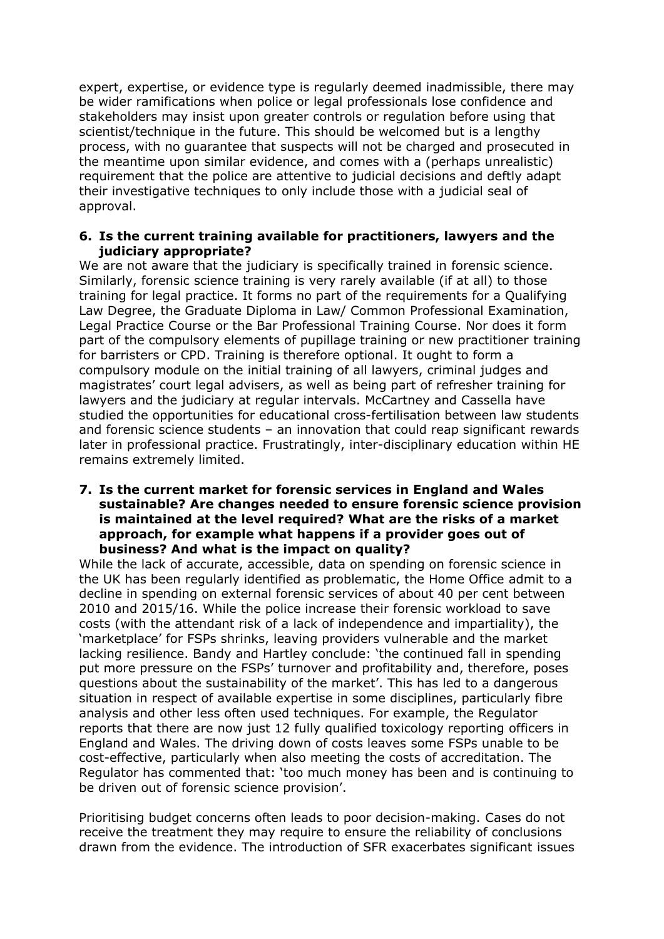expert, expertise, or evidence type is regularly deemed inadmissible, there may be wider ramifications when police or legal professionals lose confidence and stakeholders may insist upon greater controls or regulation before using that scientist/technique in the future. This should be welcomed but is a lengthy process, with no guarantee that suspects will not be charged and prosecuted in the meantime upon similar evidence, and comes with a (perhaps unrealistic) requirement that the police are attentive to judicial decisions and deftly adapt their investigative techniques to only include those with a judicial seal of approval.

#### **6. Is the current training available for practitioners, lawyers and the judiciary appropriate?**

We are not aware that the judiciary is specifically trained in forensic science. Similarly, forensic science training is very rarely available (if at all) to those training for legal practice. It forms no part of the requirements for a Qualifying Law Degree, the Graduate Diploma in Law/ Common Professional Examination, Legal Practice Course or the Bar Professional Training Course. Nor does it form part of the compulsory elements of pupillage training or new practitioner training for barristers or CPD. Training is therefore optional. It ought to form a compulsory module on the initial training of all lawyers, criminal judges and magistrates' court legal advisers, as well as being part of refresher training for lawyers and the judiciary at regular intervals. McCartney and Cassella have studied the opportunities for educational cross-fertilisation between law students and forensic science students – an innovation that could reap significant rewards later in professional practice. Frustratingly, inter-disciplinary education within HE remains extremely limited.

**7. Is the current market for forensic services in England and Wales sustainable? Are changes needed to ensure forensic science provision is maintained at the level required? What are the risks of a market approach, for example what happens if a provider goes out of business? And what is the impact on quality?**

While the lack of accurate, accessible, data on spending on forensic science in the UK has been regularly identified as problematic, the Home Office admit to a decline in spending on external forensic services of about 40 per cent between 2010 and 2015/16. While the police increase their forensic workload to save costs (with the attendant risk of a lack of independence and impartiality), the 'marketplace' for FSPs shrinks, leaving providers vulnerable and the market lacking resilience. Bandy and Hartley conclude: 'the continued fall in spending put more pressure on the FSPs' turnover and profitability and, therefore, poses questions about the sustainability of the market'. This has led to a dangerous situation in respect of available expertise in some disciplines, particularly fibre analysis and other less often used techniques. For example, the Regulator reports that there are now just 12 fully qualified toxicology reporting officers in England and Wales. The driving down of costs leaves some FSPs unable to be cost-effective, particularly when also meeting the costs of accreditation. The Regulator has commented that: 'too much money has been and is continuing to be driven out of forensic science provision'.

Prioritising budget concerns often leads to poor decision-making. Cases do not receive the treatment they may require to ensure the reliability of conclusions drawn from the evidence. The introduction of SFR exacerbates significant issues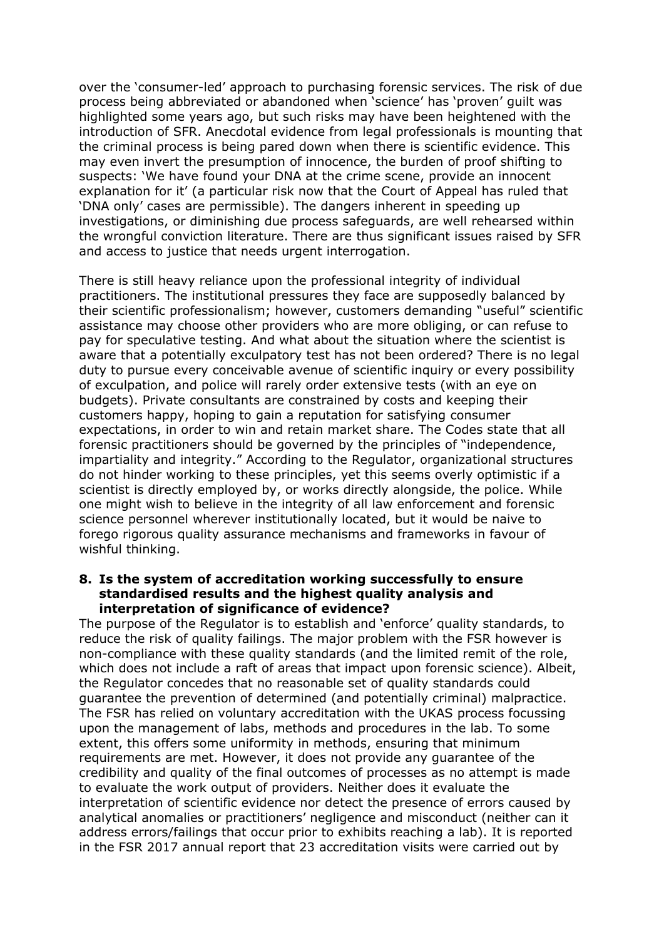over the 'consumer-led' approach to purchasing forensic services. The risk of due process being abbreviated or abandoned when 'science' has 'proven' guilt was highlighted some years ago, but such risks may have been heightened with the introduction of SFR. Anecdotal evidence from legal professionals is mounting that the criminal process is being pared down when there is scientific evidence. This may even invert the presumption of innocence, the burden of proof shifting to suspects: 'We have found your DNA at the crime scene, provide an innocent explanation for it' (a particular risk now that the Court of Appeal has ruled that 'DNA only' cases are permissible). The dangers inherent in speeding up investigations, or diminishing due process safeguards, are well rehearsed within the wrongful conviction literature. There are thus significant issues raised by SFR and access to justice that needs urgent interrogation.

There is still heavy reliance upon the professional integrity of individual practitioners. The institutional pressures they face are supposedly balanced by their scientific professionalism; however, customers demanding "useful" scientific assistance may choose other providers who are more obliging, or can refuse to pay for speculative testing. And what about the situation where the scientist is aware that a potentially exculpatory test has not been ordered? There is no legal duty to pursue every conceivable avenue of scientific inquiry or every possibility of exculpation, and police will rarely order extensive tests (with an eye on budgets). Private consultants are constrained by costs and keeping their customers happy, hoping to gain a reputation for satisfying consumer expectations, in order to win and retain market share. The Codes state that all forensic practitioners should be governed by the principles of "independence, impartiality and integrity." According to the Regulator, organizational structures do not hinder working to these principles, yet this seems overly optimistic if a scientist is directly employed by, or works directly alongside, the police. While one might wish to believe in the integrity of all law enforcement and forensic science personnel wherever institutionally located, but it would be naive to forego rigorous quality assurance mechanisms and frameworks in favour of wishful thinking.

#### **8. Is the system of accreditation working successfully to ensure standardised results and the highest quality analysis and interpretation of significance of evidence?**

The purpose of the Regulator is to establish and 'enforce' quality standards, to reduce the risk of quality failings. The major problem with the FSR however is non-compliance with these quality standards (and the limited remit of the role, which does not include a raft of areas that impact upon forensic science). Albeit, the Regulator concedes that no reasonable set of quality standards could guarantee the prevention of determined (and potentially criminal) malpractice. The FSR has relied on voluntary accreditation with the UKAS process focussing upon the management of labs, methods and procedures in the lab. To some extent, this offers some uniformity in methods, ensuring that minimum requirements are met. However, it does not provide any guarantee of the credibility and quality of the final outcomes of processes as no attempt is made to evaluate the work output of providers. Neither does it evaluate the interpretation of scientific evidence nor detect the presence of errors caused by analytical anomalies or practitioners' negligence and misconduct (neither can it address errors/failings that occur prior to exhibits reaching a lab). It is reported in the FSR 2017 annual report that 23 accreditation visits were carried out by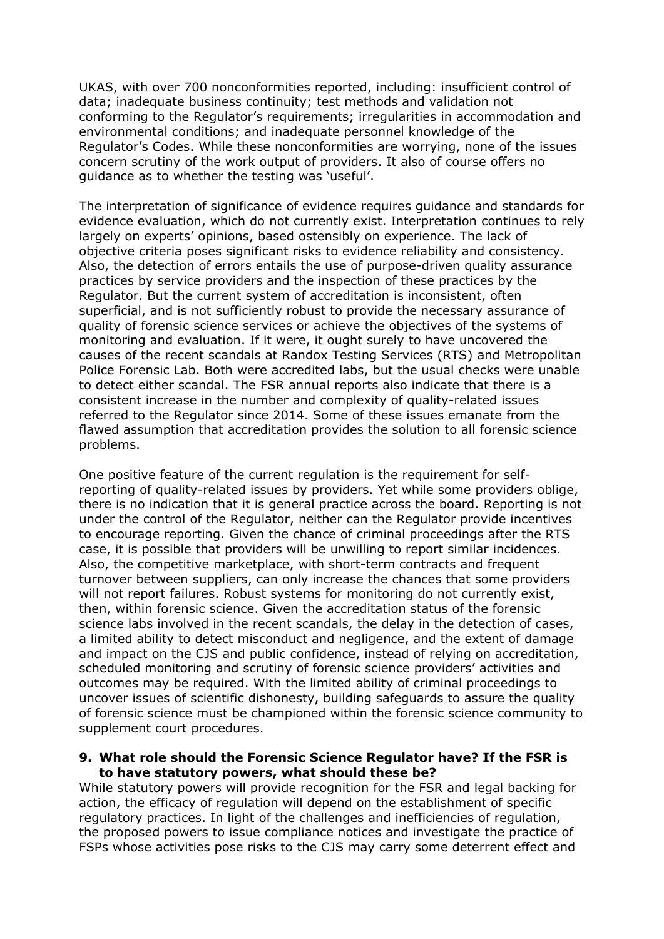UKAS, with over 700 nonconformities reported, including: insufficient control of data; inadequate business continuity; test methods and validation not conforming to the Regulator's requirements; irregularities in accommodation and environmental conditions; and inadequate personnel knowledge of the Regulator's Codes. While these nonconformities are worrying, none of the issues concern scrutiny of the work output of providers. It also of course offers no guidance as to whether the testing was 'useful'.

The interpretation of significance of evidence requires guidance and standards for evidence evaluation, which do not currently exist. Interpretation continues to rely largely on experts' opinions, based ostensibly on experience. The lack of objective criteria poses significant risks to evidence reliability and consistency. Also, the detection of errors entails the use of purpose-driven quality assurance practices by service providers and the inspection of these practices by the Regulator. But the current system of accreditation is inconsistent, often superficial, and is not sufficiently robust to provide the necessary assurance of quality of forensic science services or achieve the objectives of the systems of monitoring and evaluation. If it were, it ought surely to have uncovered the causes of the recent scandals at Randox Testing Services (RTS) and Metropolitan Police Forensic Lab. Both were accredited labs, but the usual checks were unable to detect either scandal. The FSR annual reports also indicate that there is a consistent increase in the number and complexity of quality-related issues referred to the Regulator since 2014. Some of these issues emanate from the flawed assumption that accreditation provides the solution to all forensic science problems.

One positive feature of the current regulation is the requirement for selfreporting of quality-related issues by providers. Yet while some providers oblige, there is no indication that it is general practice across the board. Reporting is not under the control of the Regulator, neither can the Regulator provide incentives to encourage reporting. Given the chance of criminal proceedings after the RTS case, it is possible that providers will be unwilling to report similar incidences. Also, the competitive marketplace, with short-term contracts and frequent turnover between suppliers, can only increase the chances that some providers will not report failures. Robust systems for monitoring do not currently exist, then, within forensic science. Given the accreditation status of the forensic science labs involved in the recent scandals, the delay in the detection of cases, a limited ability to detect misconduct and negligence, and the extent of damage and impact on the CJS and public confidence, instead of relying on accreditation, scheduled monitoring and scrutiny of forensic science providers' activities and outcomes may be required. With the limited ability of criminal proceedings to uncover issues of scientific dishonesty, building safeguards to assure the quality of forensic science must be championed within the forensic science community to supplement court procedures.

#### **9. What role should the Forensic Science Regulator have? If the FSR is to have statutory powers, what should these be?**

While statutory powers will provide recognition for the FSR and legal backing for action, the efficacy of regulation will depend on the establishment of specific regulatory practices. In light of the challenges and inefficiencies of regulation, the proposed powers to issue compliance notices and investigate the practice of FSPs whose activities pose risks to the CJS may carry some deterrent effect and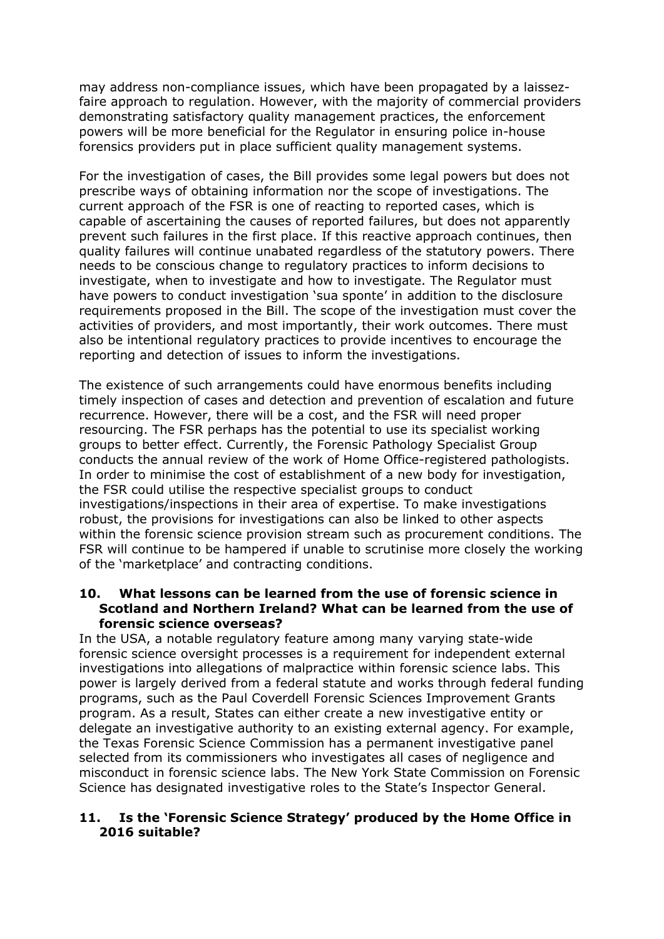may address non-compliance issues, which have been propagated by a laissezfaire approach to regulation. However, with the majority of commercial providers demonstrating satisfactory quality management practices, the enforcement powers will be more beneficial for the Regulator in ensuring police in-house forensics providers put in place sufficient quality management systems.

For the investigation of cases, the Bill provides some legal powers but does not prescribe ways of obtaining information nor the scope of investigations. The current approach of the FSR is one of reacting to reported cases, which is capable of ascertaining the causes of reported failures, but does not apparently prevent such failures in the first place. If this reactive approach continues, then quality failures will continue unabated regardless of the statutory powers. There needs to be conscious change to regulatory practices to inform decisions to investigate, when to investigate and how to investigate. The Regulator must have powers to conduct investigation 'sua sponte' in addition to the disclosure requirements proposed in the Bill. The scope of the investigation must cover the activities of providers, and most importantly, their work outcomes. There must also be intentional regulatory practices to provide incentives to encourage the reporting and detection of issues to inform the investigations.

The existence of such arrangements could have enormous benefits including timely inspection of cases and detection and prevention of escalation and future recurrence. However, there will be a cost, and the FSR will need proper resourcing. The FSR perhaps has the potential to use its specialist working groups to better effect. Currently, the Forensic Pathology Specialist Group conducts the annual review of the work of Home Office-registered pathologists. In order to minimise the cost of establishment of a new body for investigation, the FSR could utilise the respective specialist groups to conduct investigations/inspections in their area of expertise. To make investigations robust, the provisions for investigations can also be linked to other aspects within the forensic science provision stream such as procurement conditions. The FSR will continue to be hampered if unable to scrutinise more closely the working of the 'marketplace' and contracting conditions.

#### **10. What lessons can be learned from the use of forensic science in Scotland and Northern Ireland? What can be learned from the use of forensic science overseas?**

In the USA, a notable regulatory feature among many varying state-wide forensic science oversight processes is a requirement for independent external investigations into allegations of malpractice within forensic science labs. This power is largely derived from a federal statute and works through federal funding programs, such as the Paul Coverdell Forensic Sciences Improvement Grants program. As a result, States can either create a new investigative entity or delegate an investigative authority to an existing external agency. For example, the Texas Forensic Science Commission has a permanent investigative panel selected from its commissioners who investigates all cases of negligence and misconduct in forensic science labs. The New York State Commission on Forensic Science has designated investigative roles to the State's Inspector General.

## **11. Is the 'Forensic Science Strategy' produced by the Home Office in 2016 suitable?**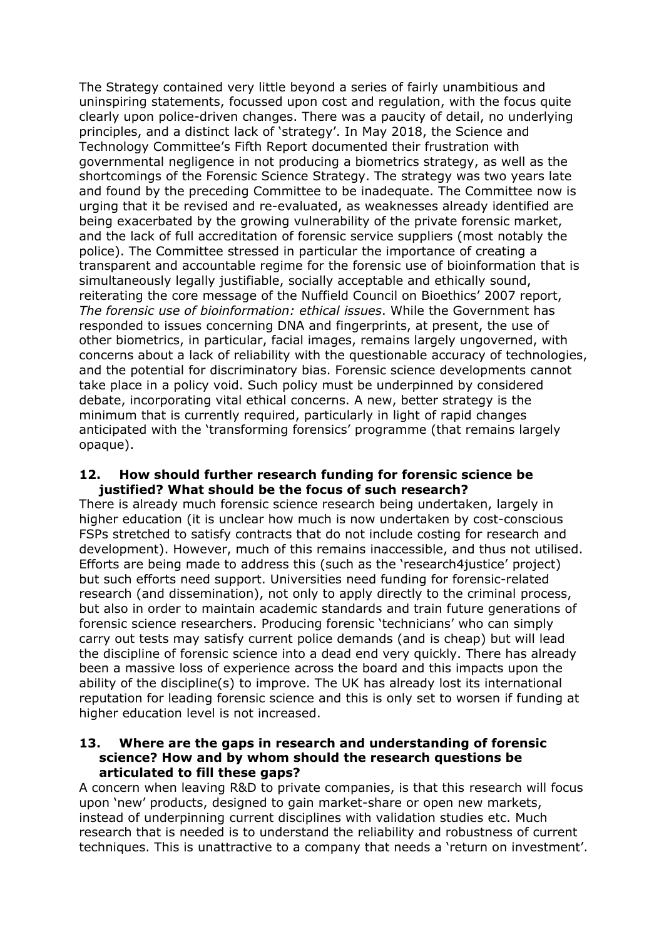The Strategy contained very little beyond a series of fairly unambitious and uninspiring statements, focussed upon cost and regulation, with the focus quite clearly upon police-driven changes. There was a paucity of detail, no underlying principles, and a distinct lack of 'strategy'. In May 2018, the Science and Technology Committee's Fifth Report documented their frustration with governmental negligence in not producing a biometrics strategy, as well as the shortcomings of the Forensic Science Strategy. The strategy was two years late and found by the preceding Committee to be inadequate. The Committee now is urging that it be revised and re-evaluated, as weaknesses already identified are being exacerbated by the growing vulnerability of the private forensic market, and the lack of full accreditation of forensic service suppliers (most notably the police). The Committee stressed in particular the importance of creating a transparent and accountable regime for the forensic use of bioinformation that is simultaneously legally justifiable, socially acceptable and ethically sound, reiterating the core message of the Nuffield Council on Bioethics' 2007 report, *The forensic use of bioinformation: ethical issues*. While the Government has responded to issues concerning DNA and fingerprints, at present, the use of other biometrics, in particular, facial images, remains largely ungoverned, with concerns about a lack of reliability with the questionable accuracy of technologies, and the potential for discriminatory bias. Forensic science developments cannot take place in a policy void. Such policy must be underpinned by considered debate, incorporating vital ethical concerns. A new, better strategy is the minimum that is currently required, particularly in light of rapid changes anticipated with the 'transforming forensics' programme (that remains largely opaque).

#### **12. How should further research funding for forensic science be justified? What should be the focus of such research?**

There is already much forensic science research being undertaken, largely in higher education (it is unclear how much is now undertaken by cost-conscious FSPs stretched to satisfy contracts that do not include costing for research and development). However, much of this remains inaccessible, and thus not utilised. Efforts are being made to address this (such as the 'research4justice' project) but such efforts need support. Universities need funding for forensic-related research (and dissemination), not only to apply directly to the criminal process, but also in order to maintain academic standards and train future generations of forensic science researchers. Producing forensic 'technicians' who can simply carry out tests may satisfy current police demands (and is cheap) but will lead the discipline of forensic science into a dead end very quickly. There has already been a massive loss of experience across the board and this impacts upon the ability of the discipline(s) to improve. The UK has already lost its international reputation for leading forensic science and this is only set to worsen if funding at higher education level is not increased.

#### **13. Where are the gaps in research and understanding of forensic science? How and by whom should the research questions be articulated to fill these gaps?**

A concern when leaving R&D to private companies, is that this research will focus upon 'new' products, designed to gain market-share or open new markets, instead of underpinning current disciplines with validation studies etc. Much research that is needed is to understand the reliability and robustness of current techniques. This is unattractive to a company that needs a 'return on investment'.